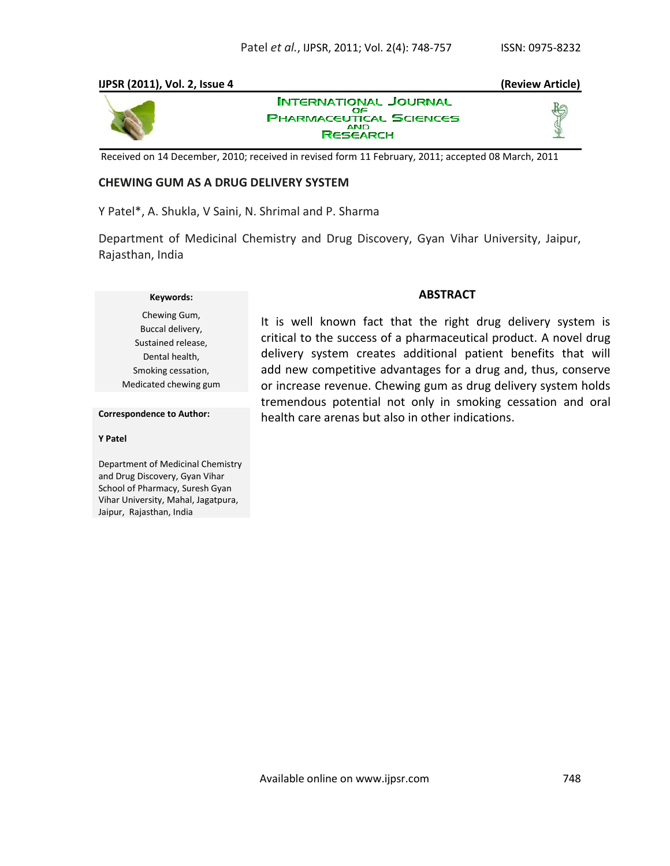## **IJPSR (2011), Vol. 2, Issue 4 (Review Article)**



**INTERNATIONAL JOURNAL** OF **PHARMACEUTICAL SCIENCES AND RESEARCH** 

Received on 14 December, 2010; received in revised form 11 February, 2011; accepted 08 March, 2011

## **CHEWING GUM AS A DRUG DELIVERY SYSTEM**

Y Patel\*, A. Shukla, V Saini, N. Shrimal and P. Sharma

Department of Medicinal Chemistry and Drug Discovery, Gyan Vihar University, Jaipur, Rajasthan, India

## **Keywords:**

Chewing Gum, Buccal delivery, Sustained release, Dental health, Smoking cessation, Medicated chewing gum

## **ABSTRACT**

It is well known fact that the right drug delivery system is critical to the success of a pharmaceutical product. A novel drug delivery system creates additional patient benefits that will add new competitive advantages for a drug and, thus, conserve or increase revenue. Chewing gum as drug delivery system holds tremendous potential not only in smoking cessation and oral health care arenas but also in other indications.

#### **Correspondence to Author:**

#### **Y Patel**

Department of Medicinal Chemistry and Drug Discovery, Gyan Vihar School of Pharmacy, Suresh Gyan Vihar University, Mahal, Jagatpura, Jaipur, Rajasthan, India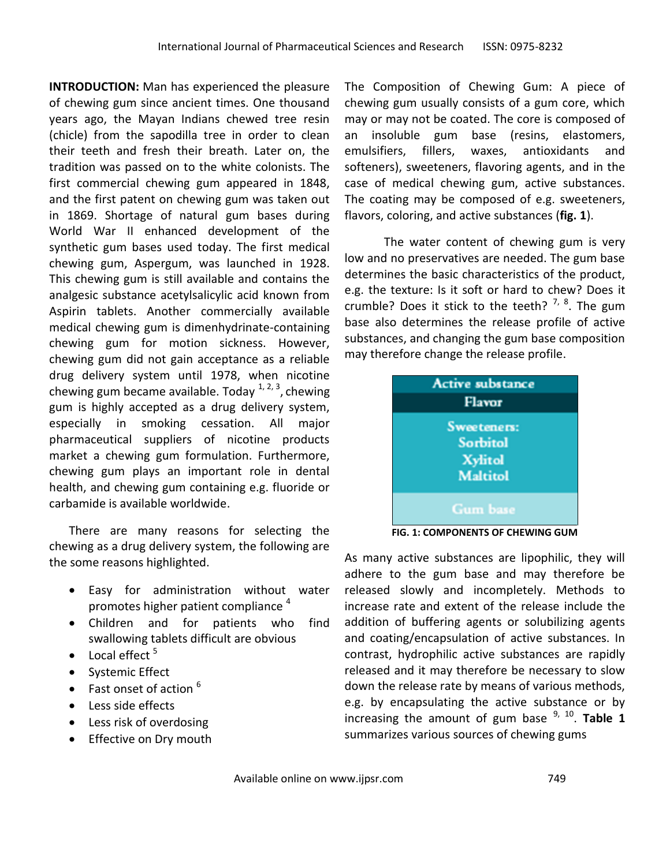**INTRODUCTION:** Man has experienced the pleasure of chewing gum since ancient times. One thousand years ago, the Mayan Indians chewed tree resin (chicle) from the sapodilla tree in order to clean their teeth and fresh their breath. Later on, the tradition was passed on to the white colonists. The first commercial chewing gum appeared in 1848, and the first patent on chewing gum was taken out in 1869. Shortage of natural gum bases during World War II enhanced development of the synthetic gum bases used today. The first medical chewing gum, Aspergum, was launched in 1928. This chewing gum is still available and contains the analgesic substance acetylsalicylic acid known from Aspirin tablets. Another commercially available medical chewing gum is dimenhydrinate-containing chewing gum for motion sickness. However, chewing gum did not gain acceptance as a reliable drug delivery system until 1978, when nicotine chewing gum became available. Today <sup>1, 2, 3</sup>, chewing gum is highly accepted as a drug delivery system, especially in smoking cessation. All major pharmaceutical suppliers of nicotine products market a chewing gum formulation. Furthermore, chewing gum plays an important role in dental health, and chewing gum containing e.g. fluoride or carbamide is available worldwide.

There are many reasons for selecting the chewing as a drug delivery system, the following are the some reasons highlighted.

- Easy for administration without water promotes higher patient compliance <sup>4</sup>
- Children and for patients who find swallowing tablets difficult are obvious
- $\bullet$  Local effect  $5$
- Systemic Effect
- $\bullet$  Fast onset of action  $^6$
- Less side effects
- Less risk of overdosing
- Effective on Dry mouth

The Composition of Chewing Gum: A piece of chewing gum usually consists of a gum core, which may or may not be coated. The core is composed of an insoluble gum base (resins, elastomers, emulsifiers, fillers, waxes, antioxidants and softeners), sweeteners, flavoring agents, and in the case of medical chewing gum, active substances. The coating may be composed of e.g. sweeteners, flavors, coloring, and active substances (**fig. 1**).

The water content of chewing gum is very low and no preservatives are needed. The gum base determines the basic characteristics of the product, e.g. the texture: Is it soft or hard to chew? Does it crumble? Does it stick to the teeth? <sup>7, 8</sup>. The gum base also determines the release profile of active substances, and changing the gum base composition may therefore change the release profile.

| <b>Active substance</b><br>Flavor |  |
|-----------------------------------|--|
| Sweeteners:<br><b>Sorbitol</b>    |  |
| <b>Xylitol</b><br><b>Maltitol</b> |  |
| <b>Gum</b> base                   |  |

**FIG. 1: COMPONENTS OF CHEWING GUM**

As many active substances are lipophilic, they will adhere to the gum base and may therefore be released slowly and incompletely. Methods to increase rate and extent of the release include the addition of buffering agents or solubilizing agents and coating/encapsulation of active substances. In contrast, hydrophilic active substances are rapidly released and it may therefore be necessary to slow down the release rate by means of various methods, e.g. by encapsulating the active substance or by increasing the amount of gum base <sup>9, 10</sup>. Table 1 summarizes various sources of chewing gums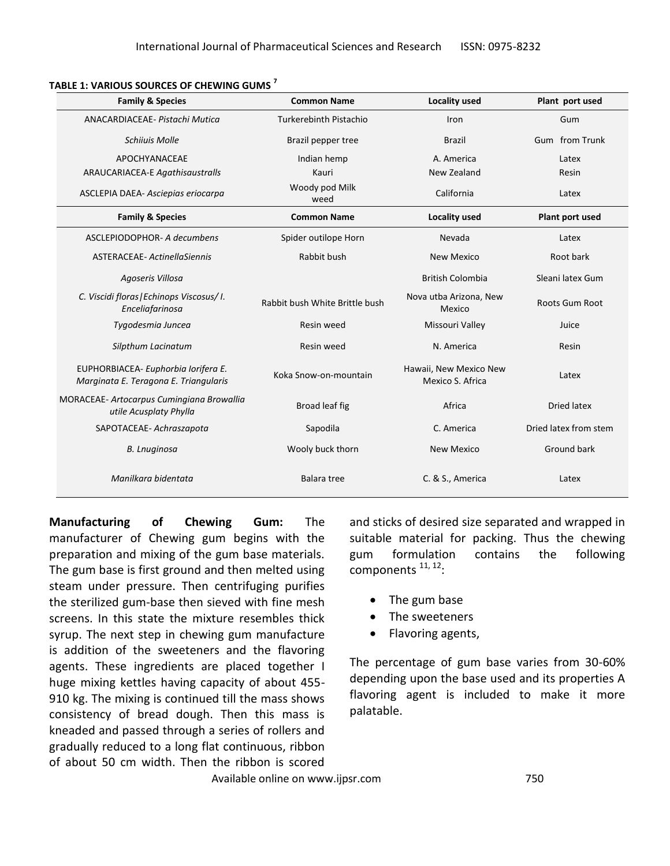| <b>Family &amp; Species</b>                                                  | <b>Common Name</b>             | Locality used                              | Plant port used       |
|------------------------------------------------------------------------------|--------------------------------|--------------------------------------------|-----------------------|
| ANACARDIACEAE- Pistachi Mutica                                               | <b>Turkerebinth Pistachio</b>  | Iron                                       | Gum                   |
| <b>Schiiuis Molle</b>                                                        | Brazil pepper tree             | <b>Brazil</b>                              | Gum from Trunk        |
| APOCHYANACEAE                                                                | Indian hemp                    | A. America                                 | Latex                 |
| <b>ARAUCARIACEA-E Agathisaustralls</b>                                       | Kauri                          | New Zealand                                | Resin                 |
| ASCLEPIA DAEA- Asciepias eriocarpa                                           | Woody pod Milk<br>weed         | California                                 | Latex                 |
| <b>Family &amp; Species</b>                                                  | <b>Common Name</b>             | Locality used                              | Plant port used       |
| ASCLEPIODOPHOR- A decumbens                                                  | Spider outilope Horn           | Nevada                                     | Latex                 |
| ASTERACEAE-ActinellaSiennis                                                  | Rabbit bush                    | <b>New Mexico</b>                          | Root bark             |
| Agoseris Villosa                                                             |                                | <b>British Colombia</b>                    | Sleani latex Gum      |
| C. Viscidi floras   Echinops Viscosus/ I.<br>Enceliafarinosa                 | Rabbit bush White Brittle bush | Nova utba Arizona, New<br>Mexico           | <b>Roots Gum Root</b> |
| Tygodesmia Juncea                                                            | Resin weed                     | Missouri Valley                            | Juice                 |
| Silpthum Lacinatum                                                           | Resin weed                     | N. America                                 | Resin                 |
| EUPHORBIACEA- Euphorbia Iorifera E.<br>Marginata E. Teragona E. Triangularis | Koka Snow-on-mountain          | Hawaii, New Mexico New<br>Mexico S. Africa | Latex                 |
| MORACEAE- Artocarpus Cumingiana Browallia<br>utile Acusplaty Phylla          | Broad leaf fig                 | Africa                                     | Dried latex           |
| SAPOTACEAE- Achraszapota                                                     | Sapodila                       | C. America                                 | Dried latex from stem |
| <b>B.</b> Lnuginosa                                                          | Wooly buck thorn               | <b>New Mexico</b>                          | Ground bark           |
| Manilkara bidentata                                                          | Balara tree                    | C. & S., America                           | Latex                 |

#### **TABLE 1: VARIOUS SOURCES OF CHEWING GUMS <sup>7</sup>**

**Manufacturing of Chewing Gum:** The manufacturer of Chewing gum begins with the preparation and mixing of the gum base materials. The gum base is first ground and then melted using steam under pressure. Then centrifuging purifies the sterilized gum-base then sieved with fine mesh screens. In this state the mixture resembles thick syrup. The next step in chewing gum manufacture is addition of the sweeteners and the flavoring agents. These ingredients are placed together I huge mixing kettles having capacity of about 455- 910 kg. The mixing is continued till the mass shows consistency of bread dough. Then this mass is kneaded and passed through a series of rollers and gradually reduced to a long flat continuous, ribbon of about 50 cm width. Then the ribbon is scored

and sticks of desired size separated and wrapped in suitable material for packing. Thus the chewing gum formulation contains the following components <sup>11, 12</sup>:

- The gum base
- The sweeteners
- Flavoring agents,

The percentage of gum base varies from 30-60% depending upon the base used and its properties A flavoring agent is included to make it more palatable.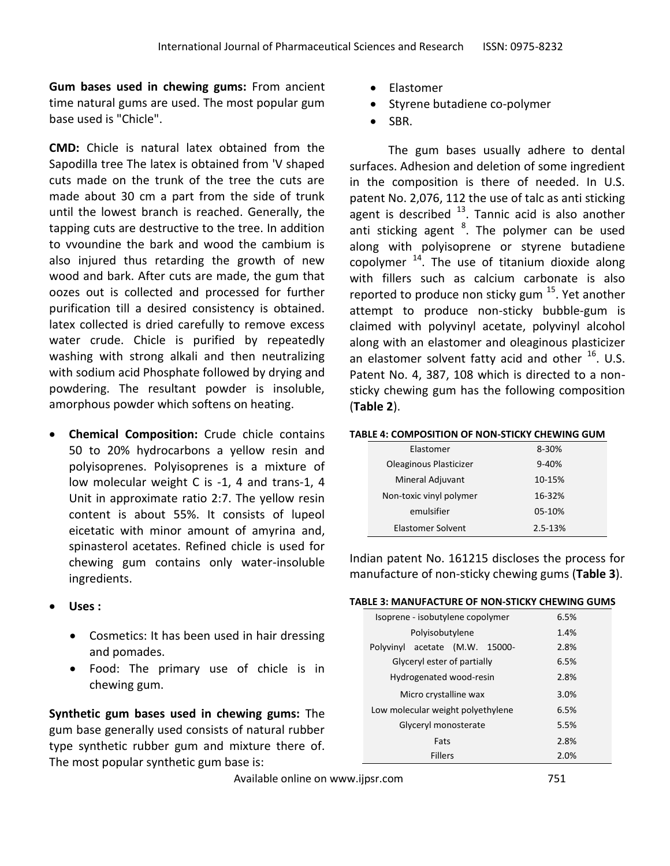**Gum bases used in chewing gums:** From ancient time natural gums are used. The most popular gum base used is "Chicle".

**CMD:** Chicle is natural latex obtained from the Sapodilla tree The latex is obtained from 'V shaped cuts made on the trunk of the tree the cuts are made about 30 cm a part from the side of trunk until the lowest branch is reached. Generally, the tapping cuts are destructive to the tree. In addition to vvoundine the bark and wood the cambium is also injured thus retarding the growth of new wood and bark. After cuts are made, the gum that oozes out is collected and processed for further purification till a desired consistency is obtained. latex collected is dried carefully to remove excess water crude. Chicle is purified by repeatedly washing with strong alkali and then neutralizing with sodium acid Phosphate followed by drying and powdering. The resultant powder is insoluble, amorphous powder which softens on heating.

- **Chemical Composition:** Crude chicle contains 50 to 20% hydrocarbons a yellow resin and polyisoprenes. Polyisoprenes is a mixture of low molecular weight C is -1, 4 and trans-1, 4 Unit in approximate ratio 2:7. The yellow resin content is about 55%. It consists of lupeol eicetatic with minor amount of amyrina and, spinasterol acetates. Refined chicle is used for chewing gum contains only water-insoluble ingredients.
- **Uses :**
	- Cosmetics: It has been used in hair dressing and pomades.
	- Food: The primary use of chicle is in chewing gum.

**Synthetic gum bases used in chewing gums:** The gum base generally used consists of natural rubber type synthetic rubber gum and mixture there of. The most popular synthetic gum base is:

- Elastomer
- Styrene butadiene co-polymer
- SBR.

 The gum bases usually adhere to dental surfaces. Adhesion and deletion of some ingredient in the composition is there of needed. In U.S. patent No. 2,076, 112 the use of talc as anti sticking agent is described  $^{13}$ . Tannic acid is also another anti sticking agent <sup>8</sup>. The polymer can be used along with polyisoprene or styrene butadiene copolymer  $^{14}$ . The use of titanium dioxide along with fillers such as calcium carbonate is also reported to produce non sticky gum <sup>15</sup>. Yet another attempt to produce non-sticky bubble-gum is claimed with polyvinyl acetate, polyvinyl alcohol along with an elastomer and oleaginous plasticizer an elastomer solvent fatty acid and other  $^{16}$ . U.S. Patent No. 4, 387, 108 which is directed to a nonsticky chewing gum has the following composition (**Table 2**).

#### **TABLE 4: COMPOSITION OF NON-STICKY CHEWING GUM**

| Elastomer               | 8-30%     |
|-------------------------|-----------|
| Oleaginous Plasticizer  | $9 - 40%$ |
| Mineral Adjuvant        | 10-15%    |
| Non-toxic vinyl polymer | 16-32%    |
| emulsifier              | 05-10%    |
| Elastomer Solvent       | 2.5-13%   |

Indian patent No. 161215 discloses the process for manufacture of non-sticky chewing gums (**Table 3**).

#### **TABLE 3: MANUFACTURE OF NON-STICKY CHEWING GUMS**

| Isoprene - isobutylene copolymer     | 6.5% |
|--------------------------------------|------|
| Polyisobutylene                      | 1.4% |
| acetate (M.W.<br>15000-<br>Polyvinyl | 2.8% |
| Glyceryl ester of partially          | 6.5% |
| Hydrogenated wood-resin              | 2.8% |
| Micro crystalline wax                | 3.0% |
| Low molecular weight polyethylene    | 6.5% |
| Glyceryl monosterate                 | 5.5% |
| Fats                                 | 2.8% |
| <b>Fillers</b>                       | 2.0% |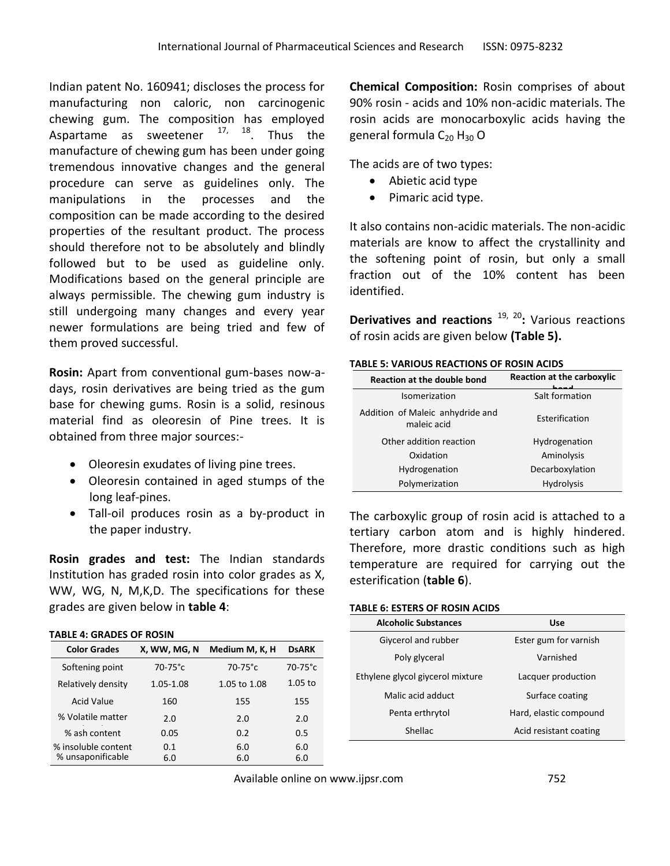Indian patent No. 160941; discloses the process for manufacturing non caloric, non carcinogenic chewing gum. The composition has employed Aspartame as sweetener  $17, 18$ . Thus the manufacture of chewing gum has been under going tremendous innovative changes and the general procedure can serve as guidelines only. The manipulations in the processes and the composition can be made according to the desired properties of the resultant product. The process should therefore not to be absolutely and blindly followed but to be used as guideline only. Modifications based on the general principle are always permissible. The chewing gum industry is still undergoing many changes and every year newer formulations are being tried and few of them proved successful.

**Rosin:** Apart from conventional gum-bases now-adays, rosin derivatives are being tried as the gum base for chewing gums. Rosin is a solid, resinous material find as oleoresin of Pine trees. It is obtained from three major sources:-

- Oleoresin exudates of living pine trees.
- Oleoresin contained in aged stumps of the long leaf-pines.
- Tall-oil produces rosin as a by-product in the paper industry.

**Rosin grades and test:** The Indian standards Institution has graded rosin into color grades as X, WW, WG, N, M,K,D. The specifications for these grades are given below in **table 4**:

### **TABLE 4: GRADES OF ROSIN**

| <b>Color Grades</b> | X, WW, MG, N | Medium M, K, H | <b>DsARK</b> |
|---------------------|--------------|----------------|--------------|
| Softening point     | $70-75$ °c   | $70-75$ °c     | $70-75$ °c   |
| Relatively density  | 1.05-1.08    | 1.05 to 1.08   | $1.05$ to    |
| <b>Acid Value</b>   | 160          | 155            | 155          |
| % Volatile matter   | 2.0          | 2.0            | 2.0          |
| % ash content       | 0.05         | 0.2            | 0.5          |
| % insoluble content | 0.1          | 6.0            | 6.0          |
| % unsaponificable   | 6.0          | 6.0            | 6.0          |

**Chemical Composition:** Rosin comprises of about 90% rosin - acids and 10% non-acidic materials. The rosin acids are monocarboxylic acids having the general formula  $C_{20}$  H<sub>30</sub> O

The acids are of two types:

- Abietic acid type
- Pimaric acid type.

It also contains non-acidic materials. The non-acidic materials are know to affect the crystallinity and the softening point of rosin, but only a small fraction out of the 10% content has been identified.

Derivatives and reactions <sup>19, 20</sup>: Various reactions of rosin acids are given below **(Table 5).**

### **TABLE 5: VARIOUS REACTIONS OF ROSIN ACIDS**

| <b>Reaction at the double bond</b>              | <b>Reaction at the carboxylic</b> |
|-------------------------------------------------|-----------------------------------|
| Isomerization                                   | Salt formation                    |
| Addition of Maleic anhydride and<br>maleic acid | Esterification                    |
| Other addition reaction                         | Hydrogenation                     |
| Oxidation                                       | Aminolysis                        |
| Hydrogenation                                   | Decarboxylation                   |
| Polymerization                                  | <b>Hydrolysis</b>                 |

The carboxylic group of rosin acid is attached to a tertiary carbon atom and is highly hindered. Therefore, more drastic conditions such as high temperature are required for carrying out the esterification (**table 6**).

## **TABLE 6: ESTERS OF ROSIN ACIDS**

| <b>Alcoholic Substances</b>      | Use                    |
|----------------------------------|------------------------|
| Giycerol and rubber              | Ester gum for varnish  |
| Poly glyceral                    | Varnished              |
| Ethylene glycol giycerol mixture | Lacquer production     |
| Malic acid adduct                | Surface coating        |
| Penta erthrytol                  | Hard, elastic compound |
| Shellac                          | Acid resistant coating |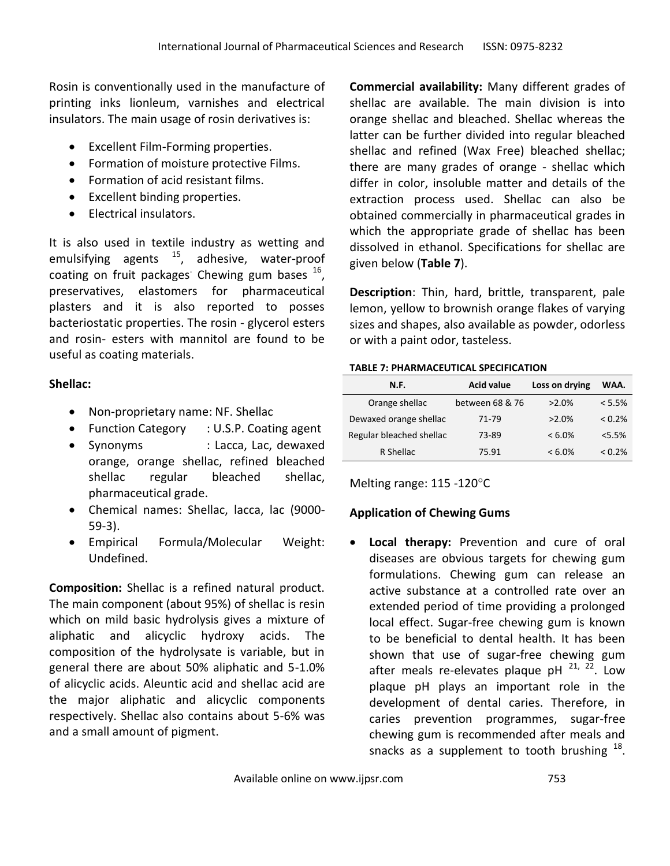Rosin is conventionally used in the manufacture of printing inks lionleum, varnishes and electrical insulators. The main usage of rosin derivatives is:

- Excellent Film-Forming properties.
- Formation of moisture protective Films.
- Formation of acid resistant films.
- Excellent binding properties.
- Electrical insulators.

It is also used in textile industry as wetting and emulsifying agents  $15$ , adhesive, water-proof coating on fruit packages<sup>.</sup> Chewing gum bases  $^{16}$ , preservatives, elastomers for pharmaceutical plasters and it is also reported to posses bacteriostatic properties. The rosin - glycerol esters and rosin- esters with mannitol are found to be useful as coating materials.

## **Shellac:**

- Non-proprietary name: NF. Shellac
- Function Category : U.S.P. Coating agent
- Synonyms : Lacca, Lac, dewaxed orange, orange shellac, refined bleached shellac regular bleached shellac, pharmaceutical grade.
- Chemical names: Shellac, lacca, lac (9000- 59-3).
- Empirical Formula/Molecular Weight: Undefined.

**Composition:** Shellac is a refined natural product. The main component (about 95%) of shellac is resin which on mild basic hydrolysis gives a mixture of aliphatic and alicyclic hydroxy acids. The composition of the hydrolysate is variable, but in general there are about 50% aliphatic and 5-1.0% of alicyclic acids. Aleuntic acid and shellac acid are the major aliphatic and alicyclic components respectively. Shellac also contains about 5-6% was and a small amount of pigment.

**Commercial availability:** Many different grades of shellac are available. The main division is into orange shellac and bleached. Shellac whereas the latter can be further divided into regular bleached shellac and refined (Wax Free) bleached shellac; there are many grades of orange - shellac which differ in color, insoluble matter and details of the extraction process used. Shellac can also be obtained commercially in pharmaceutical grades in which the appropriate grade of shellac has been dissolved in ethanol. Specifications for shellac are given below (**Table 7**).

**Description**: Thin, hard, brittle, transparent, pale lemon, yellow to brownish orange flakes of varying sizes and shapes, also available as powder, odorless or with a paint odor, tasteless.

## **TABLE 7: PHARMACEUTICAL SPECIFICATION**

| N.F.                     | <b>Acid value</b> | Loss on drying | WAA.      |
|--------------------------|-------------------|----------------|-----------|
| Orange shellac           | between 68 & 76   | $>2.0\%$       | < 5.5%    |
| Dewaxed orange shellac   | 71-79             | $>2.0\%$       | $< 0.2\%$ |
| Regular bleached shellac | 73-89             | $< 6.0\%$      | $5.5\%$   |
| R Shellac                | 75.91             | $< 6.0\%$      | $< 0.2\%$ |

Melting range:  $115 - 120^{\circ}C$ 

# **Application of Chewing Gums**

 **Local therapy:** Prevention and cure of oral diseases are obvious targets for chewing gum formulations. Chewing gum can release an active substance at a controlled rate over an extended period of time providing a prolonged local effect. Sugar-free chewing gum is known to be beneficial to dental health. It has been shown that use of sugar-free chewing gum after meals re-elevates plaque pH  $^{21, 22}$ . Low plaque pH plays an important role in the development of dental caries. Therefore, in caries prevention programmes, sugar-free chewing gum is recommended after meals and snacks as a supplement to tooth brushing  $^{18}$ .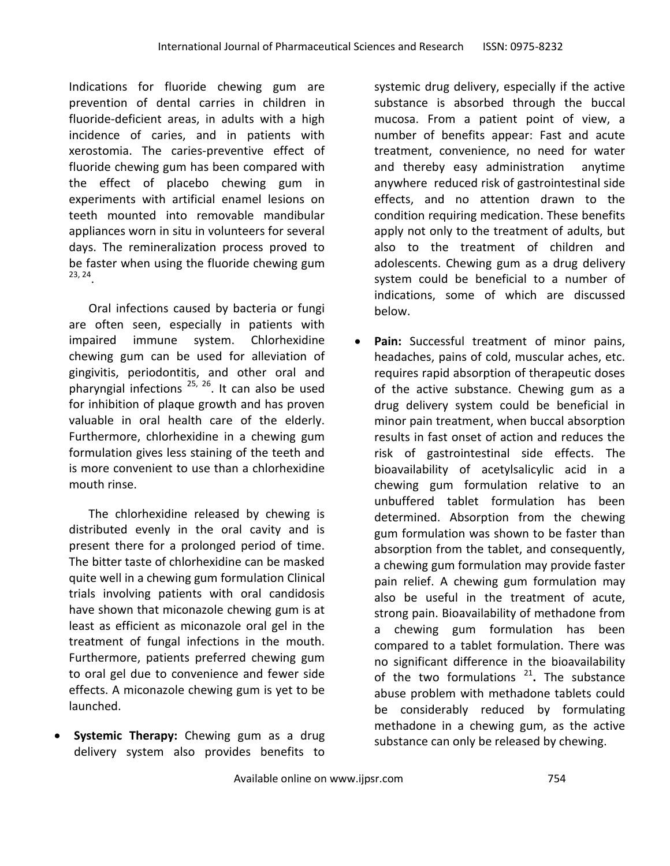Indications for fluoride chewing gum are prevention of dental carries in children in fluoride-deficient areas, in adults with a high incidence of caries, and in patients with xerostomia. The caries-preventive effect of fluoride chewing gum has been compared with the effect of placebo chewing gum in experiments with artificial enamel lesions on teeth mounted into removable mandibular appliances worn in situ in volunteers for several days. The remineralization process proved to be faster when using the fluoride chewing gum 23, 24 .

Oral infections caused by bacteria or fungi are often seen, especially in patients with impaired immune system. Chlorhexidine chewing gum can be used for alleviation of gingivitis, periodontitis, and other oral and pharyngial infections  $^{25/26}$ . It can also be used for inhibition of plaque growth and has proven valuable in oral health care of the elderly. Furthermore, chlorhexidine in a chewing gum formulation gives less staining of the teeth and is more convenient to use than a chlorhexidine mouth rinse.

The chlorhexidine released by chewing is distributed evenly in the oral cavity and is present there for a prolonged period of time. The bitter taste of chlorhexidine can be masked quite well in a chewing gum formulation Clinical trials involving patients with oral candidosis have shown that miconazole chewing gum is at least as efficient as miconazole oral gel in the treatment of fungal infections in the mouth. Furthermore, patients preferred chewing gum to oral gel due to convenience and fewer side effects. A miconazole chewing gum is yet to be launched.

 **Systemic Therapy:** Chewing gum as a drug delivery system also provides benefits to

systemic drug delivery, especially if the active substance is absorbed through the buccal mucosa. From a patient point of view, a number of benefits appear: Fast and acute treatment, convenience, no need for water and thereby easy administration anytime anywhere reduced risk of gastrointestinal side effects, and no attention drawn to the condition requiring medication. These benefits apply not only to the treatment of adults, but also to the treatment of children and adolescents. Chewing gum as a drug delivery system could be beneficial to a number of indications, some of which are discussed below.

 **Pain:** Successful treatment of minor pains, headaches, pains of cold, muscular aches, etc. requires rapid absorption of therapeutic doses of the active substance. Chewing gum as a drug delivery system could be beneficial in minor pain treatment, when buccal absorption results in fast onset of action and reduces the risk of gastrointestinal side effects. The bioavailability of acetylsalicylic acid in a chewing gum formulation relative to an unbuffered tablet formulation has been determined. Absorption from the chewing gum formulation was shown to be faster than absorption from the tablet, and consequently, a chewing gum formulation may provide faster pain relief. A chewing gum formulation may also be useful in the treatment of acute, strong pain. Bioavailability of methadone from a chewing gum formulation has been compared to a tablet formulation. There was no significant difference in the bioavailability of the two formulations<sup>21</sup>. The substance abuse problem with methadone tablets could be considerably reduced by formulating methadone in a chewing gum, as the active substance can only be released by chewing.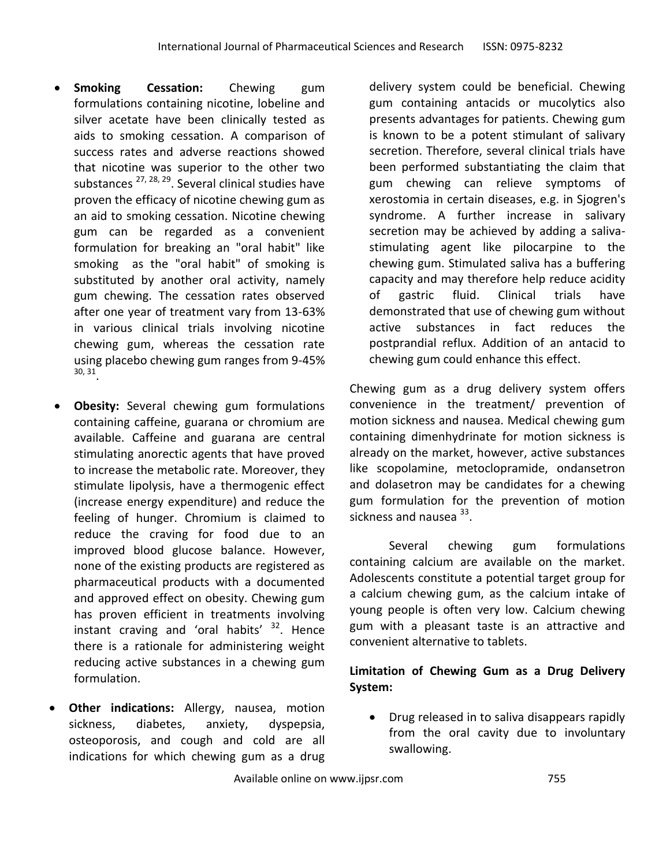- **Smoking Cessation:** Chewing gum formulations containing nicotine, lobeline and silver acetate have been clinically tested as aids to smoking cessation. A comparison of success rates and adverse reactions showed that nicotine was superior to the other two substances <sup>27, 28, 29</sup>. Several clinical studies have proven the efficacy of nicotine chewing gum as an aid to smoking cessation. Nicotine chewing gum can be regarded as a convenient formulation for breaking an "oral habit" like smoking as the "oral habit" of smoking is substituted by another oral activity, namely gum chewing. The cessation rates observed after one year of treatment vary from 13-63% in various clinical trials involving nicotine chewing gum, whereas the cessation rate using placebo chewing gum ranges from 9-45% 30, 31 .
- **Obesity:** Several chewing gum formulations containing caffeine, guarana or chromium are available. Caffeine and guarana are central stimulating anorectic agents that have proved to increase the metabolic rate. Moreover, they stimulate lipolysis, have a thermogenic effect (increase energy expenditure) and reduce the feeling of hunger. Chromium is claimed to reduce the craving for food due to an improved blood glucose balance. However, none of the existing products are registered as pharmaceutical products with a documented and approved effect on obesity. Chewing gum has proven efficient in treatments involving instant craving and 'oral habits'  $32$ . Hence there is a rationale for administering weight reducing active substances in a chewing gum formulation.
- **Other indications:** Allergy, nausea, motion sickness, diabetes, anxiety, dyspepsia, osteoporosis, and cough and cold are all indications for which chewing gum as a drug

delivery system could be beneficial. Chewing gum containing antacids or mucolytics also presents advantages for patients. Chewing gum is known to be a potent stimulant of salivary secretion. Therefore, several clinical trials have been performed substantiating the claim that gum chewing can relieve symptoms of xerostomia in certain diseases, e.g. in Sjogren's syndrome. A further increase in salivary secretion may be achieved by adding a salivastimulating agent like pilocarpine to the chewing gum. Stimulated saliva has a buffering capacity and may therefore help reduce acidity of gastric fluid. Clinical trials have demonstrated that use of chewing gum without active substances in fact reduces the postprandial reflux. Addition of an antacid to chewing gum could enhance this effect.

Chewing gum as a drug delivery system offers convenience in the treatment/ prevention of motion sickness and nausea. Medical chewing gum containing dimenhydrinate for motion sickness is already on the market, however, active substances like scopolamine, metoclopramide, ondansetron and dolasetron may be candidates for a chewing gum formulation for the prevention of motion sickness and nausea <sup>33</sup>.

Several chewing gum formulations containing calcium are available on the market. Adolescents constitute a potential target group for a calcium chewing gum, as the calcium intake of young people is often very low. Calcium chewing gum with a pleasant taste is an attractive and convenient alternative to tablets.

# **Limitation of Chewing Gum as a Drug Delivery System:**

 Drug released in to saliva disappears rapidly from the oral cavity due to involuntary swallowing.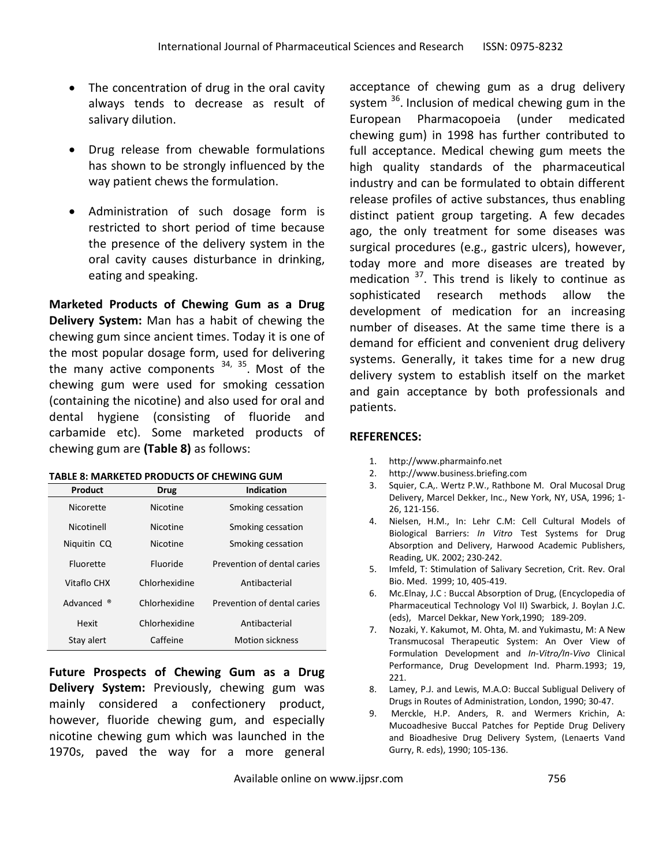- The concentration of drug in the oral cavity always tends to decrease as result of salivary dilution.
- Drug release from chewable formulations has shown to be strongly influenced by the way patient chews the formulation.
- Administration of such dosage form is restricted to short period of time because the presence of the delivery system in the oral cavity causes disturbance in drinking, eating and speaking.

**Marketed Products of Chewing Gum as a Drug Delivery System:** Man has a habit of chewing the chewing gum since ancient times. Today it is one of the most popular dosage form, used for delivering the many active components <sup>34, 35</sup>. Most of the chewing gum were used for smoking cessation (containing the nicotine) and also used for oral and dental hygiene (consisting of fluoride and carbamide etc). Some marketed products of chewing gum are **(Table 8)** as follows:

**TABLE 8: MARKETED PRODUCTS OF CHEWING GUM**

| Product     | Drug          | <b>Indication</b>           |
|-------------|---------------|-----------------------------|
| Nicorette   | Nicotine      | Smoking cessation           |
| Nicotinell  | Nicotine      | Smoking cessation           |
| Niquitin CQ | Nicotine      | Smoking cessation           |
| Fluorette   | Fluoride      | Prevention of dental caries |
| Vitaflo CHX | Chlorhexidine | Antibacterial               |
| Advanced ®  | Chlorhexidine | Prevention of dental caries |
| Hexit       | Chlorhexidine | Antibacterial               |
| Stay alert  | Caffeine      | <b>Motion sickness</b>      |

**Future Prospects of Chewing Gum as a Drug Delivery System:** Previously, chewing gum was mainly considered a confectionery product, however, fluoride chewing gum, and especially nicotine chewing gum which was launched in the 1970s, paved the way for a more general

acceptance of chewing gum as a drug delivery system <sup>36</sup>. Inclusion of medical chewing gum in the European Pharmacopoeia (under medicated chewing gum) in 1998 has further contributed to full acceptance. Medical chewing gum meets the high quality standards of the pharmaceutical industry and can be formulated to obtain different release profiles of active substances, thus enabling distinct patient group targeting. A few decades ago, the only treatment for some diseases was surgical procedures (e.g., gastric ulcers), however, today more and more diseases are treated by medication  $37$ . This trend is likely to continue as sophisticated research methods allow the development of medication for an increasing number of diseases. At the same time there is a demand for efficient and convenient drug delivery systems. Generally, it takes time for a new drug delivery system to establish itself on the market and gain acceptance by both professionals and patients.

## **REFERENCES:**

- 1. http://www.pharmainfo.net
- 2. http://www.business.briefing.com
- 3. Squier, C.A,. Wertz P.W., Rathbone M. Oral Mucosal Drug Delivery, Marcel Dekker, Inc., New York, NY, USA, 1996; 1- 26, 121-156.
- 4. Nielsen, H.M., In: Lehr C.M: Cell Cultural Models of Biological Barriers: *In Vitro* Test Systems for Drug Absorption and Delivery, Harwood Academic Publishers, Reading, UK. 2002; 230-242.
- 5. Imfeld, T: Stimulation of Salivary Secretion, Crit. Rev. Oral Bio. Med. 1999; 10, 405-419.
- 6. Mc.Elnay, J.C : Buccal Absorption of Drug, (Encyclopedia of Pharmaceutical Technology Vol II) Swarbick, J. Boylan J.C. (eds), Marcel Dekkar, New York,1990; 189-209.
- 7. Nozaki, Y. Kakumot, M. Ohta, M. and Yukimastu, M: A New Transmucosal Therapeutic System: An Over View of Formulation Development and *In-Vitro/In-Vivo* Clinical Performance, Drug Development Ind. Pharm.1993; 19, 221.
- 8. Lamey, P.J. and Lewis, M.A.O: Buccal Subligual Delivery of Drugs in Routes of Administration, London, 1990; 30-47.
- 9. Merckle, H.P. Anders, R. and Wermers Krichin, A: Mucoadhesive Buccal Patches for Peptide Drug Delivery and Bioadhesive Drug Delivery System, (Lenaerts Vand Gurry, R. eds), 1990; 105-136.